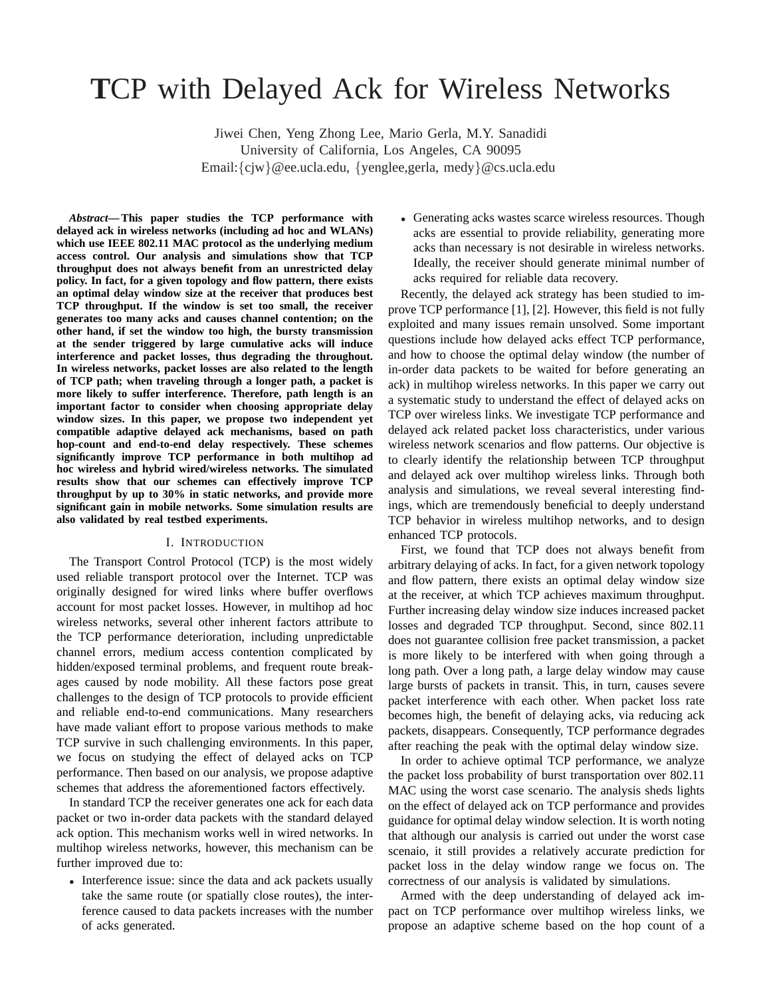# **T**CP with Delayed Ack for Wireless Networks

Jiwei Chen, Yeng Zhong Lee, Mario Gerla, M.Y. Sanadidi University of California, Los Angeles, CA 90095 Email:{cjw}@ee.ucla.edu, {yenglee,gerla, medy}@cs.ucla.edu

*Abstract***— This paper studies the TCP performance with delayed ack in wireless networks (including ad hoc and WLANs) which use IEEE 802.11 MAC protocol as the underlying medium access control. Our analysis and simulations show that TCP throughput does not always benefit from an unrestricted delay policy. In fact, for a given topology and flow pattern, there exists an optimal delay window size at the receiver that produces best TCP throughput. If the window is set too small, the receiver generates too many acks and causes channel contention; on the other hand, if set the window too high, the bursty transmission at the sender triggered by large cumulative acks will induce interference and packet losses, thus degrading the throughout. In wireless networks, packet losses are also related to the length of TCP path; when traveling through a longer path, a packet is more likely to suffer interference. Therefore, path length is an important factor to consider when choosing appropriate delay window sizes. In this paper, we propose two independent yet compatible adaptive delayed ack mechanisms, based on path hop-count and end-to-end delay respectively. These schemes significantly improve TCP performance in both multihop ad hoc wireless and hybrid wired/wireless networks. The simulated results show that our schemes can effectively improve TCP throughput by up to 30% in static networks, and provide more significant gain in mobile networks. Some simulation results are also validated by real testbed experiments.**

## I. INTRODUCTION

The Transport Control Protocol (TCP) is the most widely used reliable transport protocol over the Internet. TCP was originally designed for wired links where buffer overflows account for most packet losses. However, in multihop ad hoc wireless networks, several other inherent factors attribute to the TCP performance deterioration, including unpredictable channel errors, medium access contention complicated by hidden/exposed terminal problems, and frequent route breakages caused by node mobility. All these factors pose great challenges to the design of TCP protocols to provide efficient and reliable end-to-end communications. Many researchers have made valiant effort to propose various methods to make TCP survive in such challenging environments. In this paper, we focus on studying the effect of delayed acks on TCP performance. Then based on our analysis, we propose adaptive schemes that address the aforementioned factors effectively.

In standard TCP the receiver generates one ack for each data packet or two in-order data packets with the standard delayed ack option. This mechanism works well in wired networks. In multihop wireless networks, however, this mechanism can be further improved due to:

• Interference issue: since the data and ack packets usually take the same route (or spatially close routes), the interference caused to data packets increases with the number of acks generated.

• Generating acks wastes scarce wireless resources. Though acks are essential to provide reliability, generating more acks than necessary is not desirable in wireless networks. Ideally, the receiver should generate minimal number of acks required for reliable data recovery.

Recently, the delayed ack strategy has been studied to improve TCP performance [1], [2]. However, this field is not fully exploited and many issues remain unsolved. Some important questions include how delayed acks effect TCP performance, and how to choose the optimal delay window (the number of in-order data packets to be waited for before generating an ack) in multihop wireless networks. In this paper we carry out a systematic study to understand the effect of delayed acks on TCP over wireless links. We investigate TCP performance and delayed ack related packet loss characteristics, under various wireless network scenarios and flow patterns. Our objective is to clearly identify the relationship between TCP throughput and delayed ack over multihop wireless links. Through both analysis and simulations, we reveal several interesting findings, which are tremendously beneficial to deeply understand TCP behavior in wireless multihop networks, and to design enhanced TCP protocols.

First, we found that TCP does not always benefit from arbitrary delaying of acks. In fact, for a given network topology and flow pattern, there exists an optimal delay window size at the receiver, at which TCP achieves maximum throughput. Further increasing delay window size induces increased packet losses and degraded TCP throughput. Second, since 802.11 does not guarantee collision free packet transmission, a packet is more likely to be interfered with when going through a long path. Over a long path, a large delay window may cause large bursts of packets in transit. This, in turn, causes severe packet interference with each other. When packet loss rate becomes high, the benefit of delaying acks, via reducing ack packets, disappears. Consequently, TCP performance degrades after reaching the peak with the optimal delay window size.

In order to achieve optimal TCP performance, we analyze the packet loss probability of burst transportation over 802.11 MAC using the worst case scenario. The analysis sheds lights on the effect of delayed ack on TCP performance and provides guidance for optimal delay window selection. It is worth noting that although our analysis is carried out under the worst case scenaio, it still provides a relatively accurate prediction for packet loss in the delay window range we focus on. The correctness of our analysis is validated by simulations.

Armed with the deep understanding of delayed ack impact on TCP performance over multihop wireless links, we propose an adaptive scheme based on the hop count of a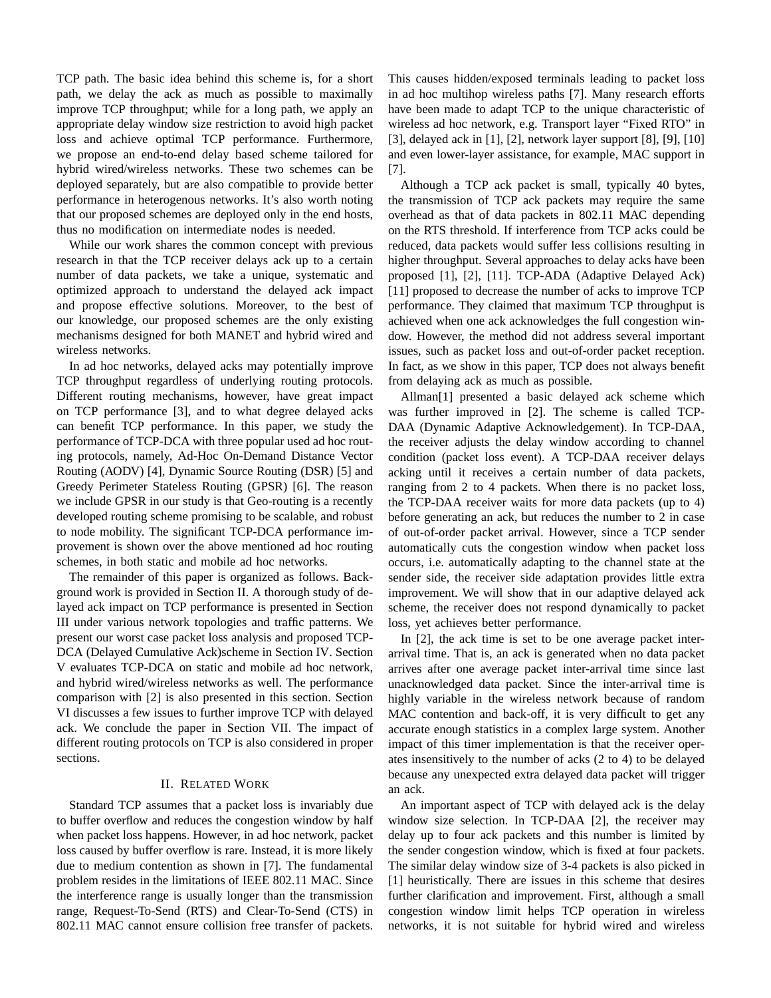TCP path. The basic idea behind this scheme is, for a short path, we delay the ack as much as possible to maximally improve TCP throughput; while for a long path, we apply an appropriate delay window size restriction to avoid high packet loss and achieve optimal TCP performance. Furthermore, we propose an end-to-end delay based scheme tailored for hybrid wired/wireless networks. These two schemes can be deployed separately, but are also compatible to provide better performance in heterogenous networks. It's also worth noting that our proposed schemes are deployed only in the end hosts, thus no modification on intermediate nodes is needed.

While our work shares the common concept with previous research in that the TCP receiver delays ack up to a certain number of data packets, we take a unique, systematic and optimized approach to understand the delayed ack impact and propose effective solutions. Moreover, to the best of our knowledge, our proposed schemes are the only existing mechanisms designed for both MANET and hybrid wired and wireless networks.

In ad hoc networks, delayed acks may potentially improve TCP throughput regardless of underlying routing protocols. Different routing mechanisms, however, have great impact on TCP performance [3], and to what degree delayed acks can benefit TCP performance. In this paper, we study the performance of TCP-DCA with three popular used ad hoc routing protocols, namely, Ad-Hoc On-Demand Distance Vector Routing (AODV) [4], Dynamic Source Routing (DSR) [5] and Greedy Perimeter Stateless Routing (GPSR) [6]. The reason we include GPSR in our study is that Geo-routing is a recently developed routing scheme promising to be scalable, and robust to node mobility. The significant TCP-DCA performance improvement is shown over the above mentioned ad hoc routing schemes, in both static and mobile ad hoc networks.

The remainder of this paper is organized as follows. Background work is provided in Section II. A thorough study of delayed ack impact on TCP performance is presented in Section III under various network topologies and traffic patterns. We present our worst case packet loss analysis and proposed TCP-DCA (Delayed Cumulative Ack)scheme in Section IV. Section V evaluates TCP-DCA on static and mobile ad hoc network, and hybrid wired/wireless networks as well. The performance comparison with [2] is also presented in this section. Section VI discusses a few issues to further improve TCP with delayed ack. We conclude the paper in Section VII. The impact of different routing protocols on TCP is also considered in proper sections.

## II. RELATED WORK

Standard TCP assumes that a packet loss is invariably due to buffer overflow and reduces the congestion window by half when packet loss happens. However, in ad hoc network, packet loss caused by buffer overflow is rare. Instead, it is more likely due to medium contention as shown in [7]. The fundamental problem resides in the limitations of IEEE 802.11 MAC. Since the interference range is usually longer than the transmission range, Request-To-Send (RTS) and Clear-To-Send (CTS) in 802.11 MAC cannot ensure collision free transfer of packets.

This causes hidden/exposed terminals leading to packet loss in ad hoc multihop wireless paths [7]. Many research efforts have been made to adapt TCP to the unique characteristic of wireless ad hoc network, e.g. Transport layer "Fixed RTO" in [3], delayed ack in [1], [2], network layer support [8], [9], [10] and even lower-layer assistance, for example, MAC support in [7].

Although a TCP ack packet is small, typically 40 bytes, the transmission of TCP ack packets may require the same overhead as that of data packets in 802.11 MAC depending on the RTS threshold. If interference from TCP acks could be reduced, data packets would suffer less collisions resulting in higher throughput. Several approaches to delay acks have been proposed [1], [2], [11]. TCP-ADA (Adaptive Delayed Ack) [11] proposed to decrease the number of acks to improve TCP performance. They claimed that maximum TCP throughput is achieved when one ack acknowledges the full congestion window. However, the method did not address several important issues, such as packet loss and out-of-order packet reception. In fact, as we show in this paper, TCP does not always benefit from delaying ack as much as possible.

Allman[1] presented a basic delayed ack scheme which was further improved in [2]. The scheme is called TCP-DAA (Dynamic Adaptive Acknowledgement). In TCP-DAA, the receiver adjusts the delay window according to channel condition (packet loss event). A TCP-DAA receiver delays acking until it receives a certain number of data packets, ranging from 2 to 4 packets. When there is no packet loss, the TCP-DAA receiver waits for more data packets (up to 4) before generating an ack, but reduces the number to 2 in case of out-of-order packet arrival. However, since a TCP sender automatically cuts the congestion window when packet loss occurs, i.e. automatically adapting to the channel state at the sender side, the receiver side adaptation provides little extra improvement. We will show that in our adaptive delayed ack scheme, the receiver does not respond dynamically to packet loss, yet achieves better performance.

In [2], the ack time is set to be one average packet interarrival time. That is, an ack is generated when no data packet arrives after one average packet inter-arrival time since last unacknowledged data packet. Since the inter-arrival time is highly variable in the wireless network because of random MAC contention and back-off, it is very difficult to get any accurate enough statistics in a complex large system. Another impact of this timer implementation is that the receiver operates insensitively to the number of acks (2 to 4) to be delayed because any unexpected extra delayed data packet will trigger an ack.

An important aspect of TCP with delayed ack is the delay window size selection. In TCP-DAA [2], the receiver may delay up to four ack packets and this number is limited by the sender congestion window, which is fixed at four packets. The similar delay window size of 3-4 packets is also picked in [1] heuristically. There are issues in this scheme that desires further clarification and improvement. First, although a small congestion window limit helps TCP operation in wireless networks, it is not suitable for hybrid wired and wireless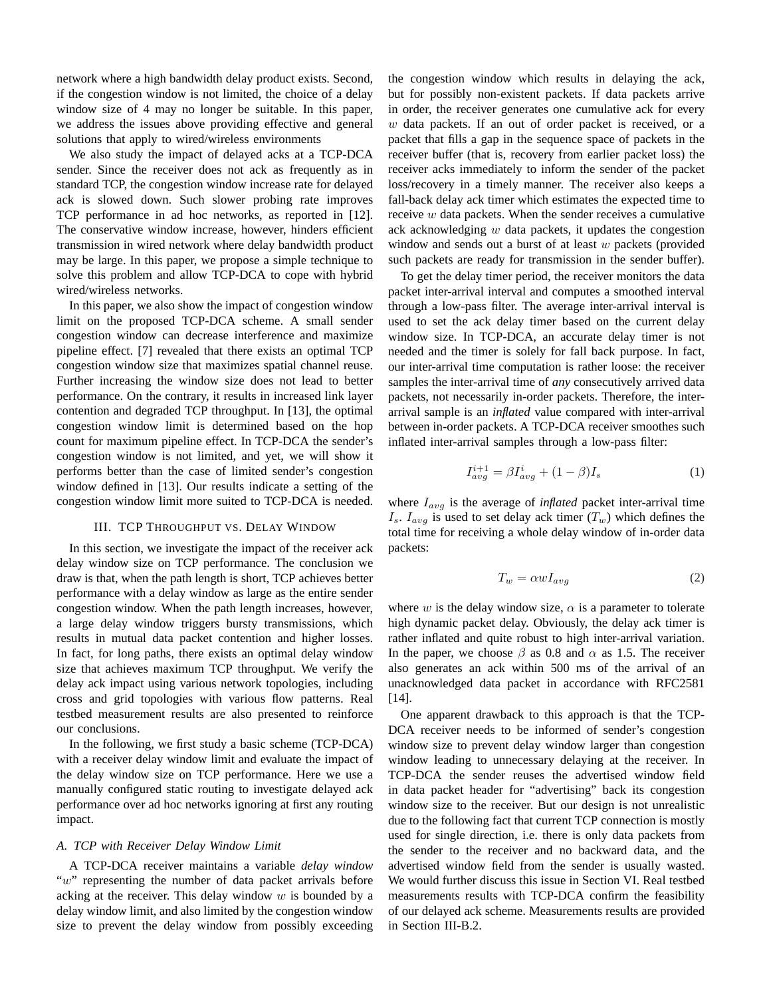network where a high bandwidth delay product exists. Second, if the congestion window is not limited, the choice of a delay window size of 4 may no longer be suitable. In this paper, we address the issues above providing effective and general solutions that apply to wired/wireless environments

We also study the impact of delayed acks at a TCP-DCA sender. Since the receiver does not ack as frequently as in standard TCP, the congestion window increase rate for delayed ack is slowed down. Such slower probing rate improves TCP performance in ad hoc networks, as reported in [12]. The conservative window increase, however, hinders efficient transmission in wired network where delay bandwidth product may be large. In this paper, we propose a simple technique to solve this problem and allow TCP-DCA to cope with hybrid wired/wireless networks.

In this paper, we also show the impact of congestion window limit on the proposed TCP-DCA scheme. A small sender congestion window can decrease interference and maximize pipeline effect. [7] revealed that there exists an optimal TCP congestion window size that maximizes spatial channel reuse. Further increasing the window size does not lead to better performance. On the contrary, it results in increased link layer contention and degraded TCP throughput. In [13], the optimal congestion window limit is determined based on the hop count for maximum pipeline effect. In TCP-DCA the sender's congestion window is not limited, and yet, we will show it performs better than the case of limited sender's congestion window defined in [13]. Our results indicate a setting of the congestion window limit more suited to TCP-DCA is needed.

# III. TCP THROUGHPUT VS. DELAY WINDOW

In this section, we investigate the impact of the receiver ack delay window size on TCP performance. The conclusion we draw is that, when the path length is short, TCP achieves better performance with a delay window as large as the entire sender congestion window. When the path length increases, however, a large delay window triggers bursty transmissions, which results in mutual data packet contention and higher losses. In fact, for long paths, there exists an optimal delay window size that achieves maximum TCP throughput. We verify the delay ack impact using various network topologies, including cross and grid topologies with various flow patterns. Real testbed measurement results are also presented to reinforce our conclusions.

In the following, we first study a basic scheme (TCP-DCA) with a receiver delay window limit and evaluate the impact of the delay window size on TCP performance. Here we use a manually configured static routing to investigate delayed ack performance over ad hoc networks ignoring at first any routing impact.

# *A. TCP with Receiver Delay Window Limit*

A TCP-DCA receiver maintains a variable *delay window* "w" representing the number of data packet arrivals before acking at the receiver. This delay window  $w$  is bounded by a delay window limit, and also limited by the congestion window size to prevent the delay window from possibly exceeding the congestion window which results in delaying the ack, but for possibly non-existent packets. If data packets arrive in order, the receiver generates one cumulative ack for every  $w$  data packets. If an out of order packet is received, or a packet that fills a gap in the sequence space of packets in the receiver buffer (that is, recovery from earlier packet loss) the receiver acks immediately to inform the sender of the packet loss/recovery in a timely manner. The receiver also keeps a fall-back delay ack timer which estimates the expected time to receive  $w$  data packets. When the sender receives a cumulative ack acknowledging  $w$  data packets, it updates the congestion window and sends out a burst of at least  $w$  packets (provided such packets are ready for transmission in the sender buffer).

To get the delay timer period, the receiver monitors the data packet inter-arrival interval and computes a smoothed interval through a low-pass filter. The average inter-arrival interval is used to set the ack delay timer based on the current delay window size. In TCP-DCA, an accurate delay timer is not needed and the timer is solely for fall back purpose. In fact, our inter-arrival time computation is rather loose: the receiver samples the inter-arrival time of *any* consecutively arrived data packets, not necessarily in-order packets. Therefore, the interarrival sample is an *inflated* value compared with inter-arrival between in-order packets. A TCP-DCA receiver smoothes such inflated inter-arrival samples through a low-pass filter:

$$
I_{avg}^{i+1} = \beta I_{avg}^i + (1 - \beta)I_s \tag{1}
$$

where  $I_{avg}$  is the average of *inflated* packet inter-arrival time  $I_s$ .  $I_{avg}$  is used to set delay ack timer  $(T_w)$  which defines the total time for receiving a whole delay window of in-order data packets:

$$
T_w = \alpha w I_{avg} \tag{2}
$$

where w is the delay window size,  $\alpha$  is a parameter to tolerate high dynamic packet delay. Obviously, the delay ack timer is rather inflated and quite robust to high inter-arrival variation. In the paper, we choose  $\beta$  as 0.8 and  $\alpha$  as 1.5. The receiver also generates an ack within 500 ms of the arrival of an unacknowledged data packet in accordance with RFC2581 [14].

One apparent drawback to this approach is that the TCP-DCA receiver needs to be informed of sender's congestion window size to prevent delay window larger than congestion window leading to unnecessary delaying at the receiver. In TCP-DCA the sender reuses the advertised window field in data packet header for "advertising" back its congestion window size to the receiver. But our design is not unrealistic due to the following fact that current TCP connection is mostly used for single direction, i.e. there is only data packets from the sender to the receiver and no backward data, and the advertised window field from the sender is usually wasted. We would further discuss this issue in Section VI. Real testbed measurements results with TCP-DCA confirm the feasibility of our delayed ack scheme. Measurements results are provided in Section III-B.2.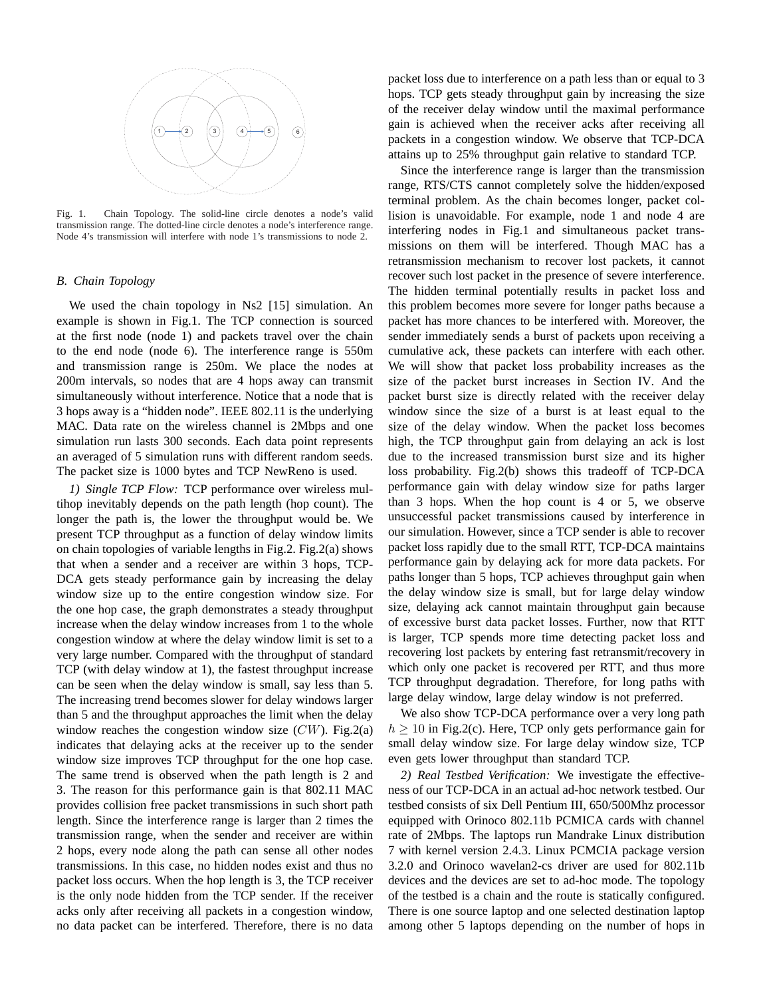

Fig. 1. Chain Topology. The solid-line circle denotes a node's valid transmission range. The dotted-line circle denotes a node's interference range. Node 4's transmission will interfere with node 1's transmissions to node 2.

#### *B. Chain Topology*

We used the chain topology in Ns2 [15] simulation. An example is shown in Fig.1. The TCP connection is sourced at the first node (node 1) and packets travel over the chain to the end node (node 6). The interference range is 550m and transmission range is 250m. We place the nodes at 200m intervals, so nodes that are 4 hops away can transmit simultaneously without interference. Notice that a node that is 3 hops away is a "hidden node". IEEE 802.11 is the underlying MAC. Data rate on the wireless channel is 2Mbps and one simulation run lasts 300 seconds. Each data point represents an averaged of 5 simulation runs with different random seeds. The packet size is 1000 bytes and TCP NewReno is used.

*1) Single TCP Flow:* TCP performance over wireless multihop inevitably depends on the path length (hop count). The longer the path is, the lower the throughput would be. We present TCP throughput as a function of delay window limits on chain topologies of variable lengths in Fig.2. Fig.2(a) shows that when a sender and a receiver are within 3 hops, TCP-DCA gets steady performance gain by increasing the delay window size up to the entire congestion window size. For the one hop case, the graph demonstrates a steady throughput increase when the delay window increases from 1 to the whole congestion window at where the delay window limit is set to a very large number. Compared with the throughput of standard TCP (with delay window at 1), the fastest throughput increase can be seen when the delay window is small, say less than 5. The increasing trend becomes slower for delay windows larger than 5 and the throughput approaches the limit when the delay window reaches the congestion window size  $(CW)$ . Fig.2(a) indicates that delaying acks at the receiver up to the sender window size improves TCP throughput for the one hop case. The same trend is observed when the path length is 2 and 3. The reason for this performance gain is that 802.11 MAC provides collision free packet transmissions in such short path length. Since the interference range is larger than 2 times the transmission range, when the sender and receiver are within 2 hops, every node along the path can sense all other nodes transmissions. In this case, no hidden nodes exist and thus no packet loss occurs. When the hop length is 3, the TCP receiver is the only node hidden from the TCP sender. If the receiver acks only after receiving all packets in a congestion window, no data packet can be interfered. Therefore, there is no data packet loss due to interference on a path less than or equal to 3 hops. TCP gets steady throughput gain by increasing the size of the receiver delay window until the maximal performance gain is achieved when the receiver acks after receiving all packets in a congestion window. We observe that TCP-DCA attains up to 25% throughput gain relative to standard TCP.

Since the interference range is larger than the transmission range, RTS/CTS cannot completely solve the hidden/exposed terminal problem. As the chain becomes longer, packet collision is unavoidable. For example, node 1 and node 4 are interfering nodes in Fig.1 and simultaneous packet transmissions on them will be interfered. Though MAC has a retransmission mechanism to recover lost packets, it cannot recover such lost packet in the presence of severe interference. The hidden terminal potentially results in packet loss and this problem becomes more severe for longer paths because a packet has more chances to be interfered with. Moreover, the sender immediately sends a burst of packets upon receiving a cumulative ack, these packets can interfere with each other. We will show that packet loss probability increases as the size of the packet burst increases in Section IV. And the packet burst size is directly related with the receiver delay window since the size of a burst is at least equal to the size of the delay window. When the packet loss becomes high, the TCP throughput gain from delaying an ack is lost due to the increased transmission burst size and its higher loss probability. Fig.2(b) shows this tradeoff of TCP-DCA performance gain with delay window size for paths larger than 3 hops. When the hop count is 4 or 5, we observe unsuccessful packet transmissions caused by interference in our simulation. However, since a TCP sender is able to recover packet loss rapidly due to the small RTT, TCP-DCA maintains performance gain by delaying ack for more data packets. For paths longer than 5 hops, TCP achieves throughput gain when the delay window size is small, but for large delay window size, delaying ack cannot maintain throughput gain because of excessive burst data packet losses. Further, now that RTT is larger, TCP spends more time detecting packet loss and recovering lost packets by entering fast retransmit/recovery in which only one packet is recovered per RTT, and thus more TCP throughput degradation. Therefore, for long paths with large delay window, large delay window is not preferred.

We also show TCP-DCA performance over a very long path  $h \ge 10$  in Fig.2(c). Here, TCP only gets performance gain for small delay window size. For large delay window size, TCP even gets lower throughput than standard TCP.

*2) Real Testbed Verification:* We investigate the effectiveness of our TCP-DCA in an actual ad-hoc network testbed. Our testbed consists of six Dell Pentium III, 650/500Mhz processor equipped with Orinoco 802.11b PCMICA cards with channel rate of 2Mbps. The laptops run Mandrake Linux distribution 7 with kernel version 2.4.3. Linux PCMCIA package version 3.2.0 and Orinoco wavelan2-cs driver are used for 802.11b devices and the devices are set to ad-hoc mode. The topology of the testbed is a chain and the route is statically configured. There is one source laptop and one selected destination laptop among other 5 laptops depending on the number of hops in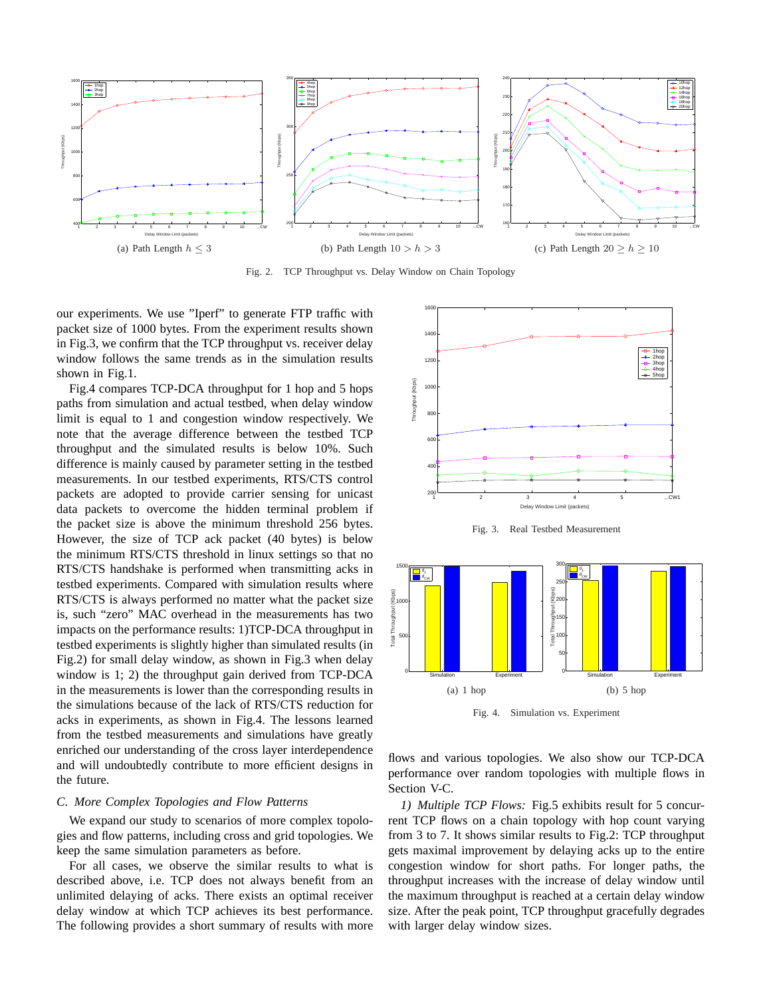

Fig. 2. TCP Throughput vs. Delay Window on Chain Topology

our experiments. We use "Iperf" to generate FTP traffic with packet size of 1000 bytes. From the experiment results shown in Fig.3, we confirm that the TCP throughput vs. receiver delay window follows the same trends as in the simulation results shown in Fig.1.

Fig.4 compares TCP-DCA throughput for 1 hop and 5 hops paths from simulation and actual testbed, when delay window limit is equal to 1 and congestion window respectively. We note that the average difference between the testbed TCP throughput and the simulated results is below 10%. Such difference is mainly caused by parameter setting in the testbed measurements. In our testbed experiments, RTS/CTS control packets are adopted to provide carrier sensing for unicast data packets to overcome the hidden terminal problem if the packet size is above the minimum threshold 256 bytes. However, the size of TCP ack packet (40 bytes) is below the minimum RTS/CTS threshold in linux settings so that no RTS/CTS handshake is performed when transmitting acks in testbed experiments. Compared with simulation results where RTS/CTS is always performed no matter what the packet size is, such "zero" MAC overhead in the measurements has two impacts on the performance results: 1)TCP-DCA throughput in testbed experiments is slightly higher than simulated results (in Fig.2) for small delay window, as shown in Fig.3 when delay window is 1; 2) the throughput gain derived from TCP-DCA in the measurements is lower than the corresponding results in the simulations because of the lack of RTS/CTS reduction for acks in experiments, as shown in Fig.4. The lessons learned from the testbed measurements and simulations have greatly enriched our understanding of the cross layer interdependence and will undoubtedly contribute to more efficient designs in the future.

## *C. More Complex Topologies and Flow Patterns*

We expand our study to scenarios of more complex topologies and flow patterns, including cross and grid topologies. We keep the same simulation parameters as before.

For all cases, we observe the similar results to what is described above, i.e. TCP does not always benefit from an unlimited delaying of acks. There exists an optimal receiver delay window at which TCP achieves its best performance. The following provides a short summary of results with more



Fig. 3. Real Testbed Measurement



Fig. 4. Simulation vs. Experiment

flows and various topologies. We also show our TCP-DCA performance over random topologies with multiple flows in Section V-C.

*1) Multiple TCP Flows:* Fig.5 exhibits result for 5 concurrent TCP flows on a chain topology with hop count varying from 3 to 7. It shows similar results to Fig.2: TCP throughput gets maximal improvement by delaying acks up to the entire congestion window for short paths. For longer paths, the throughput increases with the increase of delay window until the maximum throughput is reached at a certain delay window size. After the peak point, TCP throughput gracefully degrades with larger delay window sizes.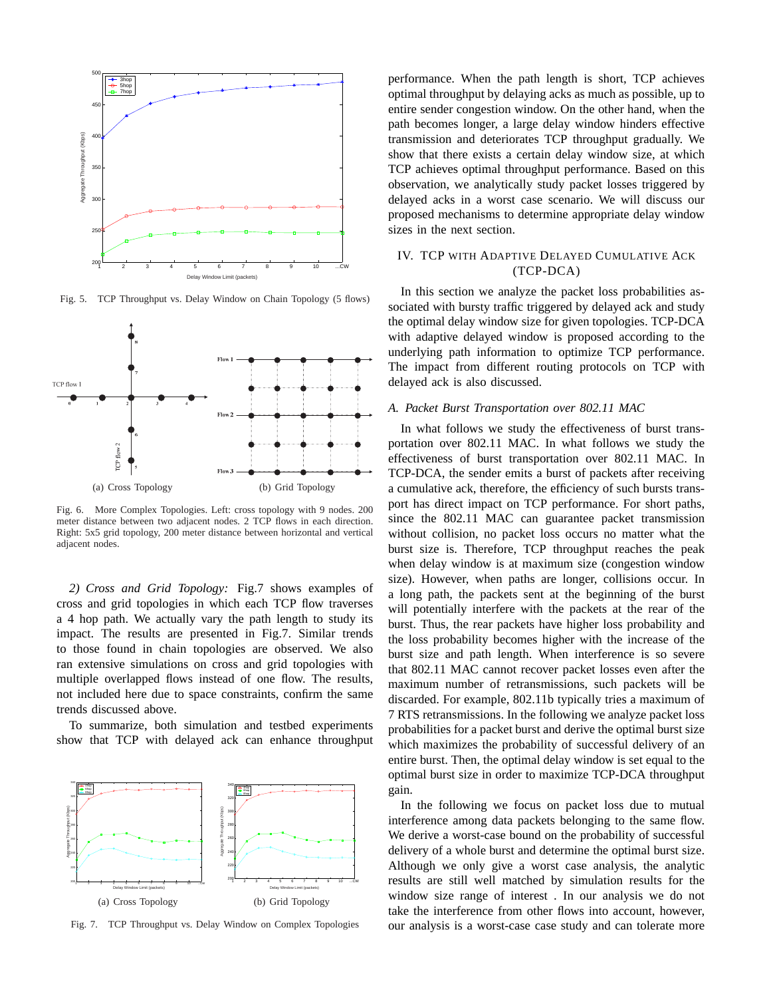

Fig. 5. TCP Throughput vs. Delay Window on Chain Topology (5 flows)



Fig. 6. More Complex Topologies. Left: cross topology with 9 nodes. 200 meter distance between two adjacent nodes. 2 TCP flows in each direction. Right: 5x5 grid topology, 200 meter distance between horizontal and vertical adjacent nodes.

*2) Cross and Grid Topology:* Fig.7 shows examples of cross and grid topologies in which each TCP flow traverses a 4 hop path. We actually vary the path length to study its impact. The results are presented in Fig.7. Similar trends to those found in chain topologies are observed. We also ran extensive simulations on cross and grid topologies with multiple overlapped flows instead of one flow. The results, not included here due to space constraints, confirm the same trends discussed above.

To summarize, both simulation and testbed experiments show that TCP with delayed ack can enhance throughput



Fig. 7. TCP Throughput vs. Delay Window on Complex Topologies

performance. When the path length is short, TCP achieves optimal throughput by delaying acks as much as possible, up to entire sender congestion window. On the other hand, when the path becomes longer, a large delay window hinders effective transmission and deteriorates TCP throughput gradually. We show that there exists a certain delay window size, at which TCP achieves optimal throughput performance. Based on this observation, we analytically study packet losses triggered by delayed acks in a worst case scenario. We will discuss our proposed mechanisms to determine appropriate delay window sizes in the next section.

# IV. TCP WITH ADAPTIVE DELAYED CUMULATIVE ACK (TCP-DCA)

In this section we analyze the packet loss probabilities associated with bursty traffic triggered by delayed ack and study the optimal delay window size for given topologies. TCP-DCA with adaptive delayed window is proposed according to the underlying path information to optimize TCP performance. The impact from different routing protocols on TCP with delayed ack is also discussed.

## *A. Packet Burst Transportation over 802.11 MAC*

In what follows we study the effectiveness of burst transportation over 802.11 MAC. In what follows we study the effectiveness of burst transportation over 802.11 MAC. In TCP-DCA, the sender emits a burst of packets after receiving a cumulative ack, therefore, the efficiency of such bursts transport has direct impact on TCP performance. For short paths, since the 802.11 MAC can guarantee packet transmission without collision, no packet loss occurs no matter what the burst size is. Therefore, TCP throughput reaches the peak when delay window is at maximum size (congestion window size). However, when paths are longer, collisions occur. In a long path, the packets sent at the beginning of the burst will potentially interfere with the packets at the rear of the burst. Thus, the rear packets have higher loss probability and the loss probability becomes higher with the increase of the burst size and path length. When interference is so severe that 802.11 MAC cannot recover packet losses even after the maximum number of retransmissions, such packets will be discarded. For example, 802.11b typically tries a maximum of 7 RTS retransmissions. In the following we analyze packet loss probabilities for a packet burst and derive the optimal burst size which maximizes the probability of successful delivery of an entire burst. Then, the optimal delay window is set equal to the optimal burst size in order to maximize TCP-DCA throughput gain.

In the following we focus on packet loss due to mutual interference among data packets belonging to the same flow. We derive a worst-case bound on the probability of successful delivery of a whole burst and determine the optimal burst size. Although we only give a worst case analysis, the analytic results are still well matched by simulation results for the window size range of interest . In our analysis we do not take the interference from other flows into account, however, our analysis is a worst-case case study and can tolerate more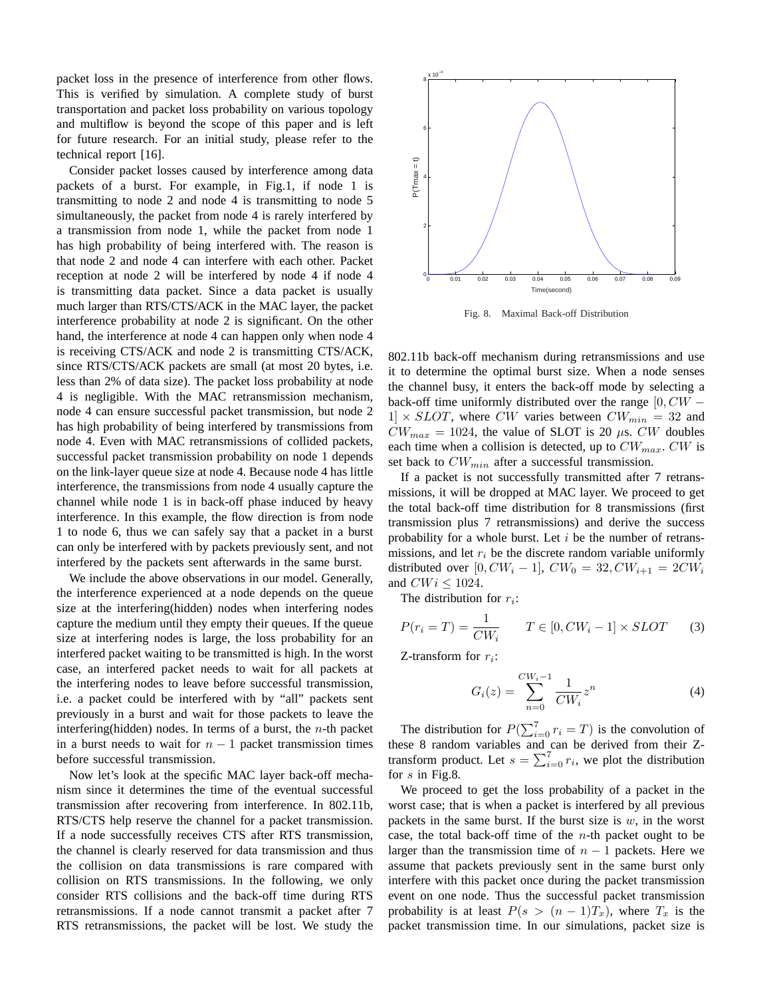packet loss in the presence of interference from other flows. This is verified by simulation. A complete study of burst transportation and packet loss probability on various topology and multiflow is beyond the scope of this paper and is left for future research. For an initial study, please refer to the technical report [16].

Consider packet losses caused by interference among data packets of a burst. For example, in Fig.1, if node 1 is transmitting to node 2 and node 4 is transmitting to node 5 simultaneously, the packet from node 4 is rarely interfered by a transmission from node 1, while the packet from node 1 has high probability of being interfered with. The reason is that node 2 and node 4 can interfere with each other. Packet reception at node 2 will be interfered by node 4 if node 4 is transmitting data packet. Since a data packet is usually much larger than RTS/CTS/ACK in the MAC layer, the packet interference probability at node 2 is significant. On the other hand, the interference at node 4 can happen only when node 4 is receiving CTS/ACK and node 2 is transmitting CTS/ACK, since RTS/CTS/ACK packets are small (at most 20 bytes, i.e. less than 2% of data size). The packet loss probability at node 4 is negligible. With the MAC retransmission mechanism, node 4 can ensure successful packet transmission, but node 2 has high probability of being interfered by transmissions from node 4. Even with MAC retransmissions of collided packets, successful packet transmission probability on node 1 depends on the link-layer queue size at node 4. Because node 4 has little interference, the transmissions from node 4 usually capture the channel while node 1 is in back-off phase induced by heavy interference. In this example, the flow direction is from node 1 to node 6, thus we can safely say that a packet in a burst can only be interfered with by packets previously sent, and not interfered by the packets sent afterwards in the same burst.

We include the above observations in our model. Generally, the interference experienced at a node depends on the queue size at the interfering(hidden) nodes when interfering nodes capture the medium until they empty their queues. If the queue size at interfering nodes is large, the loss probability for an interfered packet waiting to be transmitted is high. In the worst case, an interfered packet needs to wait for all packets at the interfering nodes to leave before successful transmission, i.e. a packet could be interfered with by "all" packets sent previously in a burst and wait for those packets to leave the interfering(hidden) nodes. In terms of a burst, the  $n$ -th packet in a burst needs to wait for  $n - 1$  packet transmission times before successful transmission.

Now let's look at the specific MAC layer back-off mechanism since it determines the time of the eventual successful transmission after recovering from interference. In 802.11b, RTS/CTS help reserve the channel for a packet transmission. If a node successfully receives CTS after RTS transmission, the channel is clearly reserved for data transmission and thus the collision on data transmissions is rare compared with collision on RTS transmissions. In the following, we only consider RTS collisions and the back-off time during RTS retransmissions. If a node cannot transmit a packet after 7 RTS retransmissions, the packet will be lost. We study the



Fig. 8. Maximal Back-off Distribution

802.11b back-off mechanism during retransmissions and use it to determine the optimal burst size. When a node senses the channel busy, it enters the back-off mode by selecting a back-off time uniformly distributed over the range  $[0, CW 1] \times SLOT$ , where CW varies between  $CW_{min} = 32$  and  $CW_{max} = 1024$ , the value of SLOT is 20  $\mu$ s. CW doubles each time when a collision is detected, up to  $CW_{max}$ . CW is set back to  $CW_{min}$  after a successful transmission.

If a packet is not successfully transmitted after 7 retransmissions, it will be dropped at MAC layer. We proceed to get the total back-off time distribution for 8 transmissions (first transmission plus 7 retransmissions) and derive the success probability for a whole burst. Let  $i$  be the number of retransmissions, and let  $r_i$  be the discrete random variable uniformly distributed over [0,  $CW_i - 1$ ],  $CW_0 = 32$ ,  $CW_{i+1} = 2CW_i$ and  $CWi \leq 1024$ .

The distribution for  $r_i$ :

$$
P(r_i = T) = \frac{1}{CW_i} \qquad T \in [0, CW_i - 1] \times SLOT \tag{3}
$$

Z-transform for  $r_i$ :

$$
G_i(z) = \sum_{n=0}^{CW_i - 1} \frac{1}{CW_i} z^n
$$
 (4)

The distribution for  $P(\sum_{i=0}^{7} r_i = T)$  is the convolution of these 8 random variables and can be derived from their Zthese 8 random variables and can be derived from their z-<br>transform product. Let  $s = \sum_{i=0}^{7} r_i$ , we plot the distribution for  $s$  in Fig.8.

We proceed to get the loss probability of a packet in the worst case; that is when a packet is interfered by all previous packets in the same burst. If the burst size is  $w$ , in the worst case, the total back-off time of the  $n$ -th packet ought to be larger than the transmission time of  $n - 1$  packets. Here we assume that packets previously sent in the same burst only interfere with this packet once during the packet transmission event on one node. Thus the successful packet transmission probability is at least  $P(s > (n-1)T_x)$ , where  $T_x$  is the packet transmission time. In our simulations, packet size is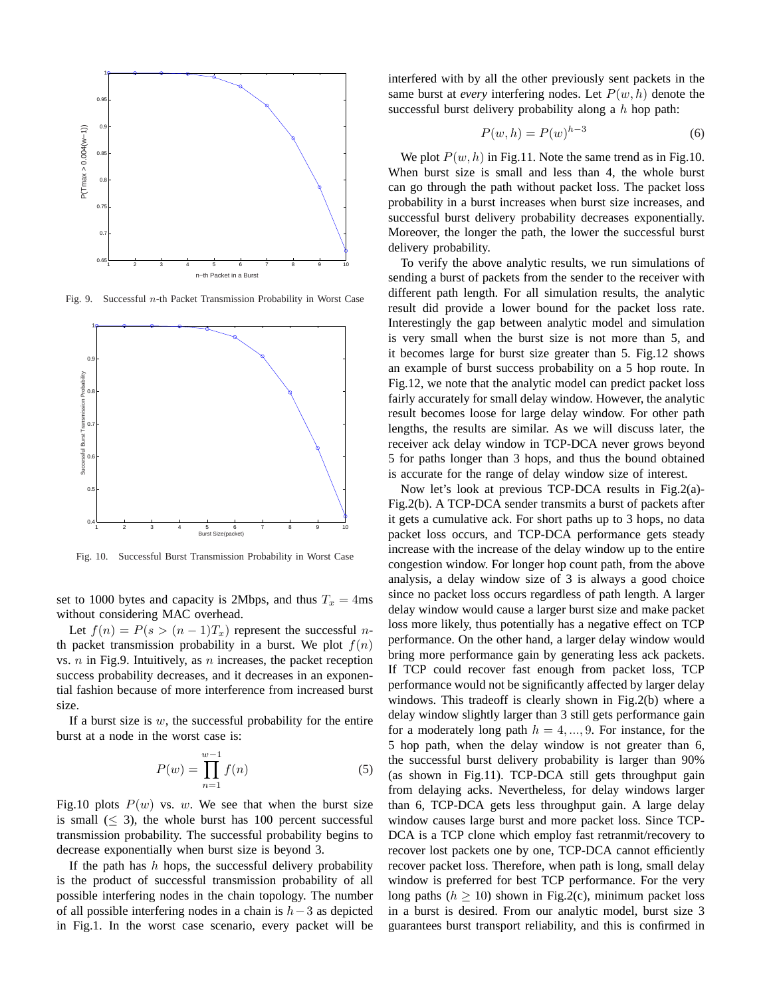

Fig. 9. Successful  $n$ -th Packet Transmission Probability in Worst Case



Fig. 10. Successful Burst Transmission Probability in Worst Case

set to 1000 bytes and capacity is 2Mbps, and thus  $T_x = 4$ ms without considering MAC overhead.

Let  $f(n) = P(s > (n-1)T_x)$  represent the successful nth packet transmission probability in a burst. We plot  $f(n)$ vs.  $n$  in Fig.9. Intuitively, as  $n$  increases, the packet reception success probability decreases, and it decreases in an exponential fashion because of more interference from increased burst size.

If a burst size is  $w$ , the successful probability for the entire burst at a node in the worst case is:

$$
P(w) = \prod_{n=1}^{w-1} f(n)
$$
 (5)

Fig.10 plots  $P(w)$  vs. w. We see that when the burst size is small  $(< 3)$ , the whole burst has 100 percent successful transmission probability. The successful probability begins to decrease exponentially when burst size is beyond 3.

If the path has  $h$  hops, the successful delivery probability is the product of successful transmission probability of all possible interfering nodes in the chain topology. The number of all possible interfering nodes in a chain is  $h-3$  as depicted in Fig.1. In the worst case scenario, every packet will be

interfered with by all the other previously sent packets in the same burst at *every* interfering nodes. Let  $P(w, h)$  denote the successful burst delivery probability along a  $h$  hop path:

$$
P(w,h) = P(w)^{h-3}
$$
\n<sup>(6)</sup>

We plot  $P(w, h)$  in Fig.11. Note the same trend as in Fig.10. When burst size is small and less than 4, the whole burst can go through the path without packet loss. The packet loss probability in a burst increases when burst size increases, and successful burst delivery probability decreases exponentially. Moreover, the longer the path, the lower the successful burst delivery probability.

To verify the above analytic results, we run simulations of sending a burst of packets from the sender to the receiver with different path length. For all simulation results, the analytic result did provide a lower bound for the packet loss rate. Interestingly the gap between analytic model and simulation is very small when the burst size is not more than 5, and it becomes large for burst size greater than 5. Fig.12 shows an example of burst success probability on a 5 hop route. In Fig.12, we note that the analytic model can predict packet loss fairly accurately for small delay window. However, the analytic result becomes loose for large delay window. For other path lengths, the results are similar. As we will discuss later, the receiver ack delay window in TCP-DCA never grows beyond 5 for paths longer than 3 hops, and thus the bound obtained is accurate for the range of delay window size of interest.

Now let's look at previous TCP-DCA results in Fig.2(a)- Fig.2(b). A TCP-DCA sender transmits a burst of packets after it gets a cumulative ack. For short paths up to 3 hops, no data packet loss occurs, and TCP-DCA performance gets steady increase with the increase of the delay window up to the entire congestion window. For longer hop count path, from the above analysis, a delay window size of 3 is always a good choice since no packet loss occurs regardless of path length. A larger delay window would cause a larger burst size and make packet loss more likely, thus potentially has a negative effect on TCP performance. On the other hand, a larger delay window would bring more performance gain by generating less ack packets. If TCP could recover fast enough from packet loss, TCP performance would not be significantly affected by larger delay windows. This tradeoff is clearly shown in Fig.2(b) where a delay window slightly larger than 3 still gets performance gain for a moderately long path  $h = 4, ..., 9$ . For instance, for the 5 hop path, when the delay window is not greater than 6, the successful burst delivery probability is larger than 90% (as shown in Fig.11). TCP-DCA still gets throughput gain from delaying acks. Nevertheless, for delay windows larger than 6, TCP-DCA gets less throughput gain. A large delay window causes large burst and more packet loss. Since TCP-DCA is a TCP clone which employ fast retranmit/recovery to recover lost packets one by one, TCP-DCA cannot efficiently recover packet loss. Therefore, when path is long, small delay window is preferred for best TCP performance. For the very long paths ( $h > 10$ ) shown in Fig.2(c), minimum packet loss in a burst is desired. From our analytic model, burst size 3 guarantees burst transport reliability, and this is confirmed in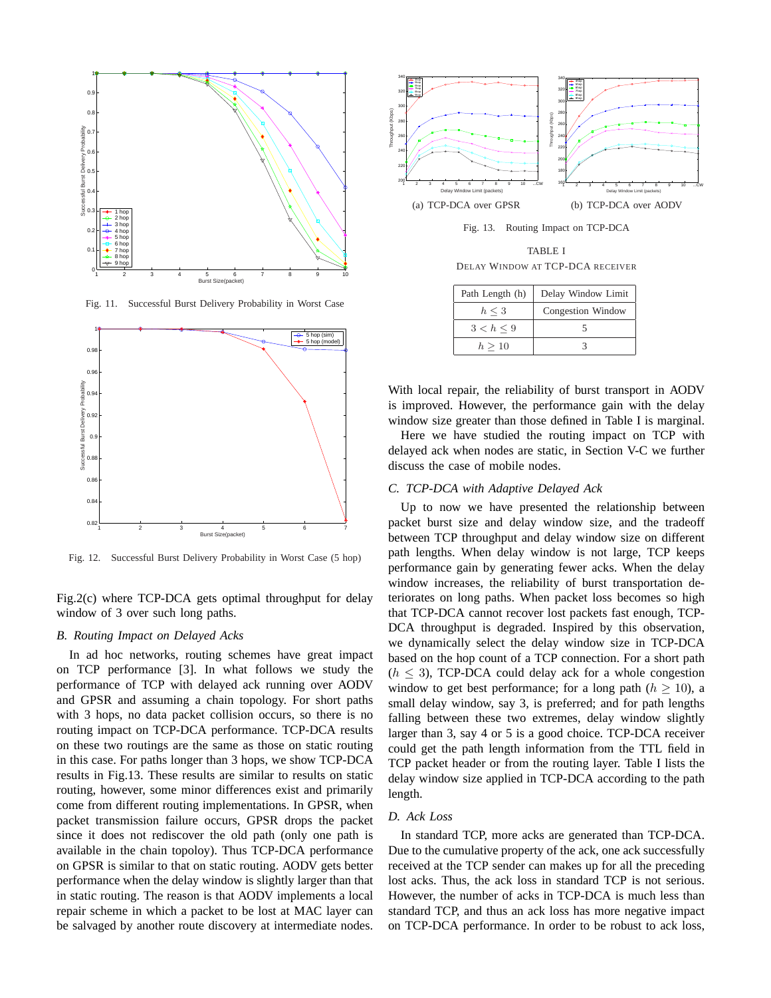

Fig. 11. Successful Burst Delivery Probability in Worst Case



Fig. 12. Successful Burst Delivery Probability in Worst Case (5 hop)

Fig.2(c) where TCP-DCA gets optimal throughput for delay window of 3 over such long paths.

### *B. Routing Impact on Delayed Acks*

In ad hoc networks, routing schemes have great impact on TCP performance [3]. In what follows we study the performance of TCP with delayed ack running over AODV and GPSR and assuming a chain topology. For short paths with 3 hops, no data packet collision occurs, so there is no routing impact on TCP-DCA performance. TCP-DCA results on these two routings are the same as those on static routing in this case. For paths longer than 3 hops, we show TCP-DCA results in Fig.13. These results are similar to results on static routing, however, some minor differences exist and primarily come from different routing implementations. In GPSR, when packet transmission failure occurs, GPSR drops the packet since it does not rediscover the old path (only one path is available in the chain topoloy). Thus TCP-DCA performance on GPSR is similar to that on static routing. AODV gets better performance when the delay window is slightly larger than that in static routing. The reason is that AODV implements a local repair scheme in which a packet to be lost at MAC layer can be salvaged by another route discovery at intermediate nodes.



TABLE I DELAY WINDOW AT TCP-DCA RECEIVER

| Path Length (h) | Delay Window Limit |
|-----------------|--------------------|
| $h \leq 3$      | Congestion Window  |
| $3 < h \leq 9$  |                    |
| $h \geq 10$     |                    |

With local repair, the reliability of burst transport in AODV is improved. However, the performance gain with the delay window size greater than those defined in Table I is marginal.

Here we have studied the routing impact on TCP with delayed ack when nodes are static, in Section V-C we further discuss the case of mobile nodes.

#### *C. TCP-DCA with Adaptive Delayed Ack*

Up to now we have presented the relationship between packet burst size and delay window size, and the tradeoff between TCP throughput and delay window size on different path lengths. When delay window is not large, TCP keeps performance gain by generating fewer acks. When the delay window increases, the reliability of burst transportation deteriorates on long paths. When packet loss becomes so high that TCP-DCA cannot recover lost packets fast enough, TCP-DCA throughput is degraded. Inspired by this observation, we dynamically select the delay window size in TCP-DCA based on the hop count of a TCP connection. For a short path  $(h \leq 3)$ , TCP-DCA could delay ack for a whole congestion window to get best performance; for a long path  $(h > 10)$ , a small delay window, say 3, is preferred; and for path lengths falling between these two extremes, delay window slightly larger than 3, say 4 or 5 is a good choice. TCP-DCA receiver could get the path length information from the TTL field in TCP packet header or from the routing layer. Table I lists the delay window size applied in TCP-DCA according to the path length.

## *D. Ack Loss*

In standard TCP, more acks are generated than TCP-DCA. Due to the cumulative property of the ack, one ack successfully received at the TCP sender can makes up for all the preceding lost acks. Thus, the ack loss in standard TCP is not serious. However, the number of acks in TCP-DCA is much less than standard TCP, and thus an ack loss has more negative impact on TCP-DCA performance. In order to be robust to ack loss,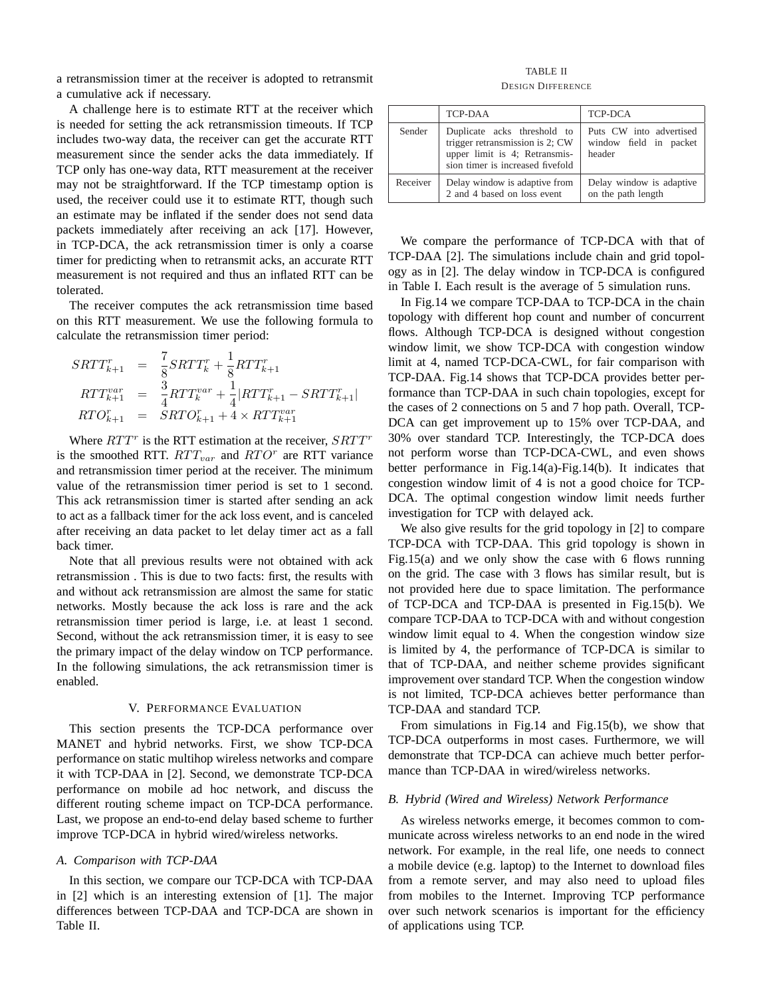a retransmission timer at the receiver is adopted to retransmit a cumulative ack if necessary.

A challenge here is to estimate RTT at the receiver which is needed for setting the ack retransmission timeouts. If TCP includes two-way data, the receiver can get the accurate RTT measurement since the sender acks the data immediately. If TCP only has one-way data, RTT measurement at the receiver may not be straightforward. If the TCP timestamp option is used, the receiver could use it to estimate RTT, though such an estimate may be inflated if the sender does not send data packets immediately after receiving an ack [17]. However, in TCP-DCA, the ack retransmission timer is only a coarse timer for predicting when to retransmit acks, an accurate RTT measurement is not required and thus an inflated RTT can be tolerated.

The receiver computes the ack retransmission time based on this RTT measurement. We use the following formula to calculate the retransmission timer period:

$$
SRTT_{k+1}^r = \frac{7}{8} SRTT_k^r + \frac{1}{8} RTT_{k+1}^r
$$
  
\n
$$
RTT_{k+1}^{var} = \frac{3}{4} RTT_k^{var} + \frac{1}{4} |RTT_{k+1}^r - SRTT_{k+1}^r|
$$
  
\n
$$
RTO_{k+1}^r = SRTO_{k+1}^r + 4 \times RTT_{k+1}^{var}
$$

Where  $RTT^r$  is the RTT estimation at the receiver,  $SRTT^r$ is the smoothed RTT.  $RTT_{var}$  and  $RTO<sup>r</sup>$  are RTT variance and retransmission timer period at the receiver. The minimum value of the retransmission timer period is set to 1 second. This ack retransmission timer is started after sending an ack to act as a fallback timer for the ack loss event, and is canceled after receiving an data packet to let delay timer act as a fall back timer.

Note that all previous results were not obtained with ack retransmission . This is due to two facts: first, the results with and without ack retransmission are almost the same for static networks. Mostly because the ack loss is rare and the ack retransmission timer period is large, i.e. at least 1 second. Second, without the ack retransmission timer, it is easy to see the primary impact of the delay window on TCP performance. In the following simulations, the ack retransmission timer is enabled.

## V. PERFORMANCE EVALUATION

This section presents the TCP-DCA performance over MANET and hybrid networks. First, we show TCP-DCA performance on static multihop wireless networks and compare it with TCP-DAA in [2]. Second, we demonstrate TCP-DCA performance on mobile ad hoc network, and discuss the different routing scheme impact on TCP-DCA performance. Last, we propose an end-to-end delay based scheme to further improve TCP-DCA in hybrid wired/wireless networks.

#### *A. Comparison with TCP-DAA*

In this section, we compare our TCP-DCA with TCP-DAA in [2] which is an interesting extension of [1]. The major differences between TCP-DAA and TCP-DCA are shown in Table II.

TABLE II DESIGN DIFFERENCE

|          | <b>TCP-DAA</b>                                                                                                                      | TCP-DCA                                                     |
|----------|-------------------------------------------------------------------------------------------------------------------------------------|-------------------------------------------------------------|
| Sender   | Duplicate acks threshold to<br>trigger retransmission is 2; CW<br>upper limit is 4; Retransmis-<br>sion timer is increased fivefold | Puts CW into advertised<br>window field in packet<br>header |
| Receiver | Delay window is adaptive from<br>2 and 4 based on loss event                                                                        | Delay window is adaptive<br>on the path length              |

We compare the performance of TCP-DCA with that of TCP-DAA [2]. The simulations include chain and grid topology as in [2]. The delay window in TCP-DCA is configured in Table I. Each result is the average of 5 simulation runs.

In Fig.14 we compare TCP-DAA to TCP-DCA in the chain topology with different hop count and number of concurrent flows. Although TCP-DCA is designed without congestion window limit, we show TCP-DCA with congestion window limit at 4, named TCP-DCA-CWL, for fair comparison with TCP-DAA. Fig.14 shows that TCP-DCA provides better performance than TCP-DAA in such chain topologies, except for the cases of 2 connections on 5 and 7 hop path. Overall, TCP-DCA can get improvement up to 15% over TCP-DAA, and 30% over standard TCP. Interestingly, the TCP-DCA does not perform worse than TCP-DCA-CWL, and even shows better performance in Fig.14(a)-Fig.14(b). It indicates that congestion window limit of 4 is not a good choice for TCP-DCA. The optimal congestion window limit needs further investigation for TCP with delayed ack.

We also give results for the grid topology in [2] to compare TCP-DCA with TCP-DAA. This grid topology is shown in Fig.15(a) and we only show the case with 6 flows running on the grid. The case with 3 flows has similar result, but is not provided here due to space limitation. The performance of TCP-DCA and TCP-DAA is presented in Fig.15(b). We compare TCP-DAA to TCP-DCA with and without congestion window limit equal to 4. When the congestion window size is limited by 4, the performance of TCP-DCA is similar to that of TCP-DAA, and neither scheme provides significant improvement over standard TCP. When the congestion window is not limited, TCP-DCA achieves better performance than TCP-DAA and standard TCP.

From simulations in Fig.14 and Fig.15(b), we show that TCP-DCA outperforms in most cases. Furthermore, we will demonstrate that TCP-DCA can achieve much better performance than TCP-DAA in wired/wireless networks.

#### *B. Hybrid (Wired and Wireless) Network Performance*

As wireless networks emerge, it becomes common to communicate across wireless networks to an end node in the wired network. For example, in the real life, one needs to connect a mobile device (e.g. laptop) to the Internet to download files from a remote server, and may also need to upload files from mobiles to the Internet. Improving TCP performance over such network scenarios is important for the efficiency of applications using TCP.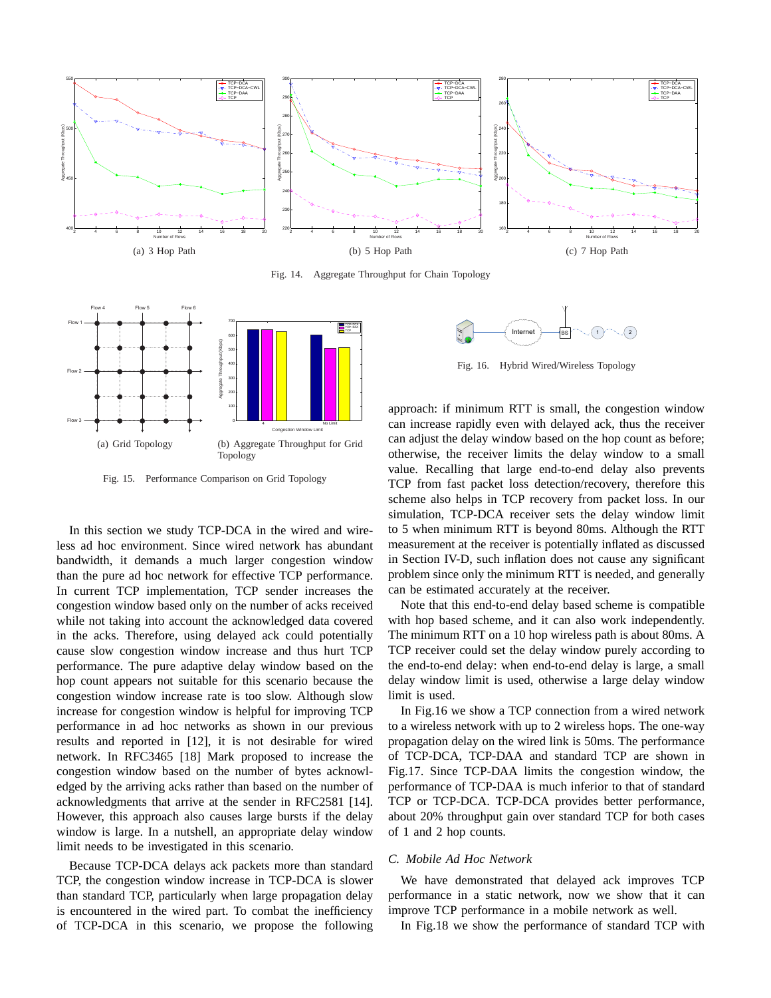

Fig. 14. Aggregate Throughput for Chain Topology



Fig. 15. Performance Comparison on Grid Topology

In this section we study TCP-DCA in the wired and wireless ad hoc environment. Since wired network has abundant bandwidth, it demands a much larger congestion window than the pure ad hoc network for effective TCP performance. In current TCP implementation, TCP sender increases the congestion window based only on the number of acks received while not taking into account the acknowledged data covered in the acks. Therefore, using delayed ack could potentially cause slow congestion window increase and thus hurt TCP performance. The pure adaptive delay window based on the hop count appears not suitable for this scenario because the congestion window increase rate is too slow. Although slow increase for congestion window is helpful for improving TCP performance in ad hoc networks as shown in our previous results and reported in [12], it is not desirable for wired network. In RFC3465 [18] Mark proposed to increase the congestion window based on the number of bytes acknowledged by the arriving acks rather than based on the number of acknowledgments that arrive at the sender in RFC2581 [14]. However, this approach also causes large bursts if the delay window is large. In a nutshell, an appropriate delay window limit needs to be investigated in this scenario.

Because TCP-DCA delays ack packets more than standard TCP, the congestion window increase in TCP-DCA is slower than standard TCP, particularly when large propagation delay is encountered in the wired part. To combat the inefficiency of TCP-DCA in this scenario, we propose the following



Fig. 16. Hybrid Wired/Wireless Topology

approach: if minimum RTT is small, the congestion window can increase rapidly even with delayed ack, thus the receiver can adjust the delay window based on the hop count as before; otherwise, the receiver limits the delay window to a small value. Recalling that large end-to-end delay also prevents TCP from fast packet loss detection/recovery, therefore this scheme also helps in TCP recovery from packet loss. In our simulation, TCP-DCA receiver sets the delay window limit to 5 when minimum RTT is beyond 80ms. Although the RTT measurement at the receiver is potentially inflated as discussed in Section IV-D, such inflation does not cause any significant problem since only the minimum RTT is needed, and generally can be estimated accurately at the receiver.

Note that this end-to-end delay based scheme is compatible with hop based scheme, and it can also work independently. The minimum RTT on a 10 hop wireless path is about 80ms. A TCP receiver could set the delay window purely according to the end-to-end delay: when end-to-end delay is large, a small delay window limit is used, otherwise a large delay window limit is used.

In Fig.16 we show a TCP connection from a wired network to a wireless network with up to 2 wireless hops. The one-way propagation delay on the wired link is 50ms. The performance of TCP-DCA, TCP-DAA and standard TCP are shown in Fig.17. Since TCP-DAA limits the congestion window, the performance of TCP-DAA is much inferior to that of standard TCP or TCP-DCA. TCP-DCA provides better performance, about 20% throughput gain over standard TCP for both cases of 1 and 2 hop counts.

## *C. Mobile Ad Hoc Network*

We have demonstrated that delayed ack improves TCP performance in a static network, now we show that it can improve TCP performance in a mobile network as well.

In Fig.18 we show the performance of standard TCP with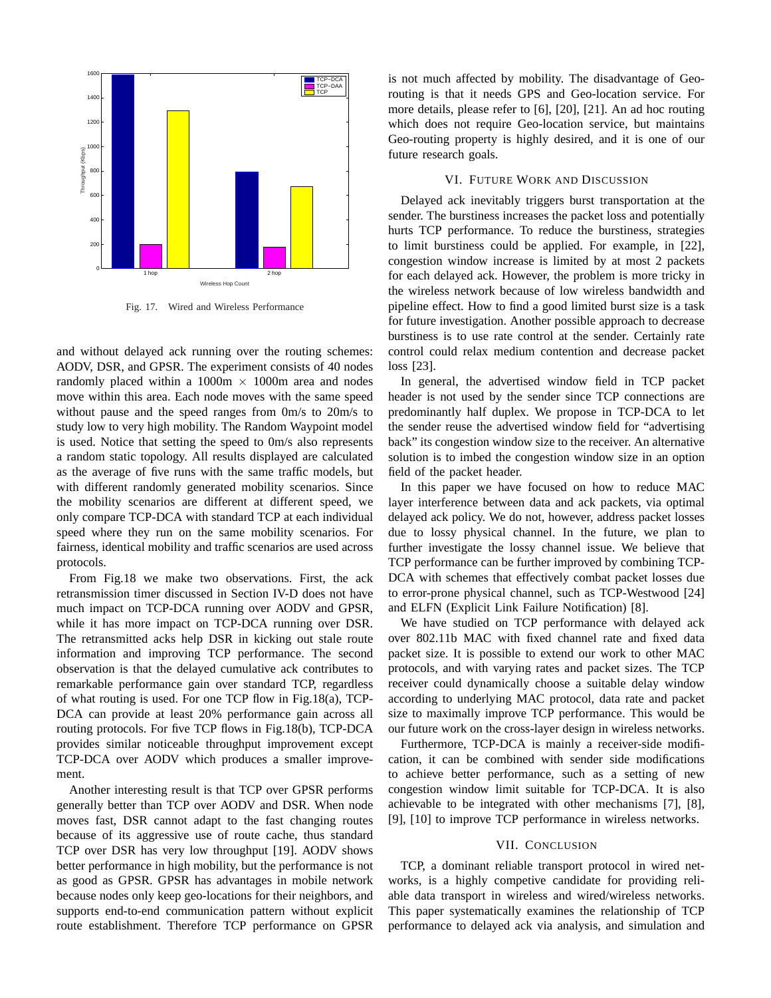

Fig. 17. Wired and Wireless Performance

and without delayed ack running over the routing schemes: AODV, DSR, and GPSR. The experiment consists of 40 nodes randomly placed within a  $1000m \times 1000m$  area and nodes move within this area. Each node moves with the same speed without pause and the speed ranges from 0m/s to 20m/s to study low to very high mobility. The Random Waypoint model is used. Notice that setting the speed to 0m/s also represents a random static topology. All results displayed are calculated as the average of five runs with the same traffic models, but with different randomly generated mobility scenarios. Since the mobility scenarios are different at different speed, we only compare TCP-DCA with standard TCP at each individual speed where they run on the same mobility scenarios. For fairness, identical mobility and traffic scenarios are used across protocols.

From Fig.18 we make two observations. First, the ack retransmission timer discussed in Section IV-D does not have much impact on TCP-DCA running over AODV and GPSR, while it has more impact on TCP-DCA running over DSR. The retransmitted acks help DSR in kicking out stale route information and improving TCP performance. The second observation is that the delayed cumulative ack contributes to remarkable performance gain over standard TCP, regardless of what routing is used. For one TCP flow in Fig.18(a), TCP-DCA can provide at least 20% performance gain across all routing protocols. For five TCP flows in Fig.18(b), TCP-DCA provides similar noticeable throughput improvement except TCP-DCA over AODV which produces a smaller improvement.

Another interesting result is that TCP over GPSR performs generally better than TCP over AODV and DSR. When node moves fast, DSR cannot adapt to the fast changing routes because of its aggressive use of route cache, thus standard TCP over DSR has very low throughput [19]. AODV shows better performance in high mobility, but the performance is not as good as GPSR. GPSR has advantages in mobile network because nodes only keep geo-locations for their neighbors, and supports end-to-end communication pattern without explicit route establishment. Therefore TCP performance on GPSR is not much affected by mobility. The disadvantage of Georouting is that it needs GPS and Geo-location service. For more details, please refer to [6], [20], [21]. An ad hoc routing which does not require Geo-location service, but maintains Geo-routing property is highly desired, and it is one of our future research goals.

# VI. FUTURE WORK AND DISCUSSION

Delayed ack inevitably triggers burst transportation at the sender. The burstiness increases the packet loss and potentially hurts TCP performance. To reduce the burstiness, strategies to limit burstiness could be applied. For example, in [22], congestion window increase is limited by at most 2 packets for each delayed ack. However, the problem is more tricky in the wireless network because of low wireless bandwidth and pipeline effect. How to find a good limited burst size is a task for future investigation. Another possible approach to decrease burstiness is to use rate control at the sender. Certainly rate control could relax medium contention and decrease packet loss [23].

In general, the advertised window field in TCP packet header is not used by the sender since TCP connections are predominantly half duplex. We propose in TCP-DCA to let the sender reuse the advertised window field for "advertising back" its congestion window size to the receiver. An alternative solution is to imbed the congestion window size in an option field of the packet header.

In this paper we have focused on how to reduce MAC layer interference between data and ack packets, via optimal delayed ack policy. We do not, however, address packet losses due to lossy physical channel. In the future, we plan to further investigate the lossy channel issue. We believe that TCP performance can be further improved by combining TCP-DCA with schemes that effectively combat packet losses due to error-prone physical channel, such as TCP-Westwood [24] and ELFN (Explicit Link Failure Notification) [8].

We have studied on TCP performance with delayed ack over 802.11b MAC with fixed channel rate and fixed data packet size. It is possible to extend our work to other MAC protocols, and with varying rates and packet sizes. The TCP receiver could dynamically choose a suitable delay window according to underlying MAC protocol, data rate and packet size to maximally improve TCP performance. This would be our future work on the cross-layer design in wireless networks.

Furthermore, TCP-DCA is mainly a receiver-side modification, it can be combined with sender side modifications to achieve better performance, such as a setting of new congestion window limit suitable for TCP-DCA. It is also achievable to be integrated with other mechanisms [7], [8], [9], [10] to improve TCP performance in wireless networks.

#### VII. CONCLUSION

TCP, a dominant reliable transport protocol in wired networks, is a highly competive candidate for providing reliable data transport in wireless and wired/wireless networks. This paper systematically examines the relationship of TCP performance to delayed ack via analysis, and simulation and